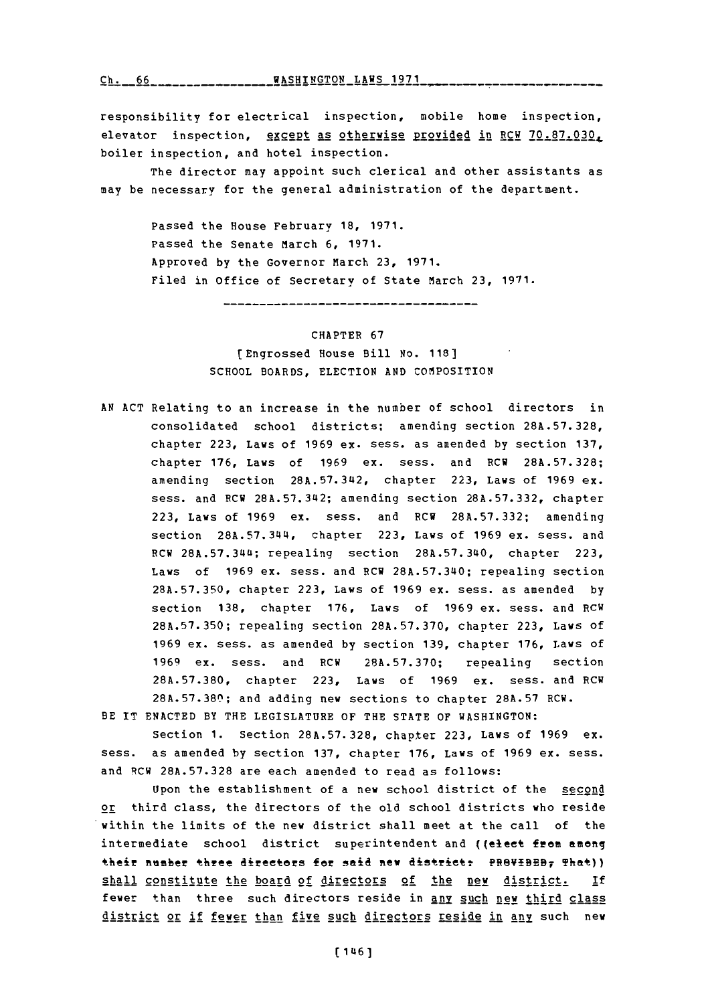**(~'1, ~**

responsibility for electrical inspection, mobile home inspection, elevator inspection, except as otherwise Provided in RCW **70.87.030.** boiler inspection, and hotel inspection.

The director may appoint such clerical and other assistants as may be necessary for the general administration of the department.

> Passed the House February **18, 1971.** Passed the Senate March **6, 1971.** Approved **by** the Governor March **23, 1971.** Filed in office of Secretary of State March **23, 1971.**

> > \_\_\_\_\_\_\_\_\_\_\_\_\_\_\_\_\_\_\_\_\_\_\_\_\_\_\_\_\_\_\_\_\_\_

CHAPTER **67**

[Engrossed House Bill No. **118] SCHOOL** BOARDS, ELECTION **AND** COMPOSITION

**AN ACT** Relating to an increase in the number of school directors in consolidated school districts; amending section **28A.57.328,** chapter **223,** Laws of **1969** ex. sess. as amended **by** section **137,** chapter **176,** Laws of **1969** ex. sess. and RCW **28A.57.328;** amending section **28A.57.34~2,** chapter **223,** Laws of **1969** ex. sess. and RCW **28A.57.342;** amending section **28A.57.332,** chapter **223,** Laws of **1969** ex. sess. and RCW **28A.57.332;** amending section 28A.57.344, chapter **223,** Laws of **1969** ex. sess. and RCW **28A.57.34~4;** repealing section **28A.57.340,** chapter **223,** Laws of **1969** ex. sess. and RCW **28A.57.340;** repealing section **28A.57.350,** chapter **223,** Laws of **1969** ex. sess. as amended **by** section **138,** chapter **176,** Laws of **1969** ex. sess. and RCW **28A.57.350;** repealing section **28A.57.370,** chapter **223,** Laws of **1969** ex. sess. as amended **by** section **139,** chapter **176,** Laws **of 1969** ex. sess. and RCW **28A.57.370;** repealing section **28A.57.380,** chapter **223,** Laws of **1969** ex. sess. and RCW **28A.57.380;** and adding new sections to chapter **28A.57** RCW.

BE IT **ENACTED** BY THE LEGISLATURE OF THE **STATE** OF WASHINGTON:

Section **1.** Section **28A.57. 328,** chapter **223,** Laws of **1969 ex.** mess, as amended **by** section **137,** chapter **176,** Laws of **1969** ex. sess. and RCW **28A.57.328** are each amended to read as follows:

Upon the establishment of a new school district of the second or third class, the directors of the old school districts who reside within the limits of the new district shall meet at the call of the intermediate school district superintendent and ((elect from among their number three directors for said new district: PR8VIBEB7 That)) shall constitute the board of directors of the new district. **if** fewer than three such directors reside in any such new third class district or if fewer than five such directors reside in any such new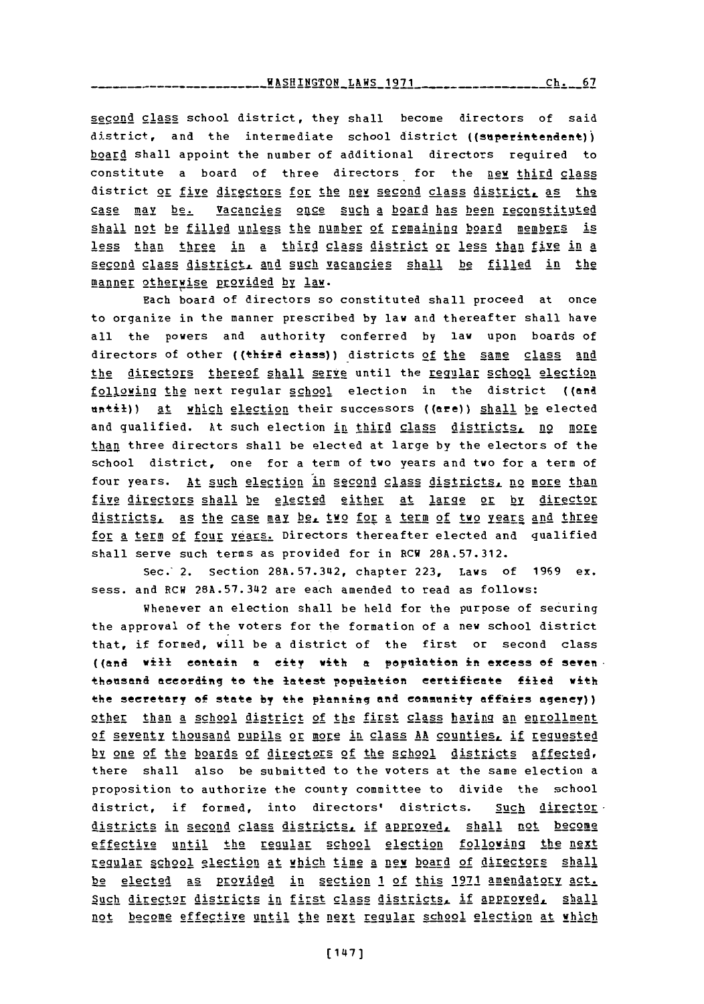**KASHINGTON LAWS 1971 Research Contract Ch. 67** 

second class school district, they shall become directors of said district, and the intermediate school district ((superintendent)) board shall appoint the number of additional directors required to constitute a board of three directors for the new third class district or five directors for the new second class district, as the case May be. Vacancies once such a board has been reconstituted shall not be filled unless the number of remaining board members is less than three in a third **class district or less than five in a** second class district, and such vacancies shall be filled in the manner otherwise provided by law.

Each board of directors so constituted shall proceed at once to organize in the manner prescribed **by** law and thereafter shall have all the powers and authority conferred **by** law upon boards of directors of other ((third elass)) districts of the same class and the directors thereof shall serve until the regular school election following the next regular school election in the district ((and nntil)) At which election their successors ((are)) **shall** be elected and qualified. At such election in third class districts, no more than three directors shall be elected at large **by** the electors of the school district, one for a term of two years and two for a term of four years. At such election in second class districts, no more than five directors shall be elected either at large or by director districtsL, as the case may be,. two for a term of two **years** and three for a term of four years. Directors thereafter elected and qualified shall serve such terms as provided for in RCW **28A.57.312.**

Sec.' 2. Section **28A.57.342,** chapter **223,** Laws of **1969** ex. sess. and RCW **28A.57.342** are each amended to read as follows:

whenever an election shall be held for the purpose of securing the approval of the voters for the formation of a new school district that, if formed, will be a district of the first or second class ((and will contain **a** city with **a** paptlatian in excess **of** seven thosand according to the latest population certificate filed with the secretary of state by the planning and community affairs agency)) other than a school district of the first class having an enrollment of seventy thousand pupils or more in class AA counties, if requested by one of the boards of directors of the school districts affected, there shall also be submitted to the voters at the same election a proposition to authorize the county committee to divide the school district, if formed, into directors' districts. Such director. districts in second class districts, if approved, shall not become effective until the regular school election following the next regular school election at which time a new board of directors shall be elected as provided in section 1 of this 1971 amendatory act. Such director districts in first class districts, if approved, shall not become effective until the next regular school election at which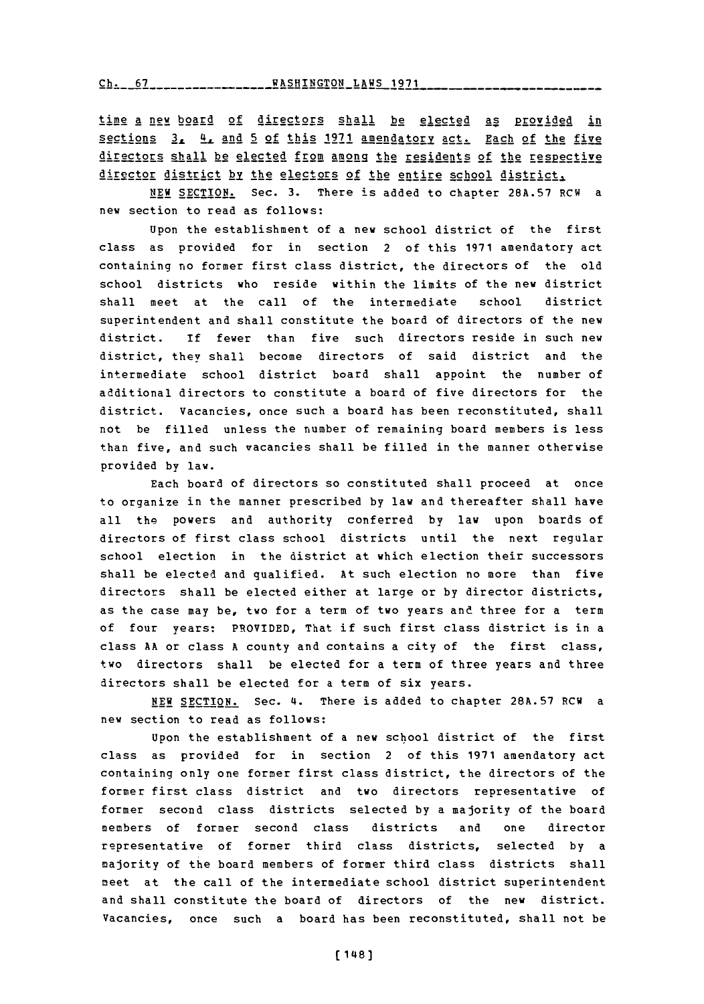**Ch. 67 WASHINGTON LAWS 1971**

time a new board of directors shall be elected as provided in sections **<sup>3</sup> .L** \_4 and **!I** of this **1971** amenda tory act. Each of the five directors shall be elected from among the residents of the respective director district **by** the 2eetors of the entire school district,.

**NEW SECTION.** Sec. **3.** There is added to chapter **28A.57** RCW a new section to read as follows:

Upon the establishment of a new school district of the first class as provided for in section 2 of this **1971** amendatory act containing no former first class district, the directors of the old school districts who reside within the limits of the new district shall meet at the call of the intermediate school district superintendent and shall constitute the board of directors of the new district. **if** fewer than five such directors reside in such new district, they shall become directors of said district and the intermediate school district board shall appoint the number of additional directors to constitute a board of five directors for the district. vacancies, once such a board has been reconstituted, shall not be filled unless the number of remaining board members is less than five, and such vacancies shall be filled in the manner otherwise provided **by** law.

Each board of directors so constituted shall proceed at once to organize in the manner prescribed **by** law and thereafter shall have all the powers and authority conferred **by** law upon boards of directors of first class school districts until the next regular school election in the district at which election their successors shall be elected and qualified. At such election no more than five directors shall be elected either at large or **by** director districts, as the case may be, two for a term of two years and three for a term **of** four years: PROVIDED, That if such first class district is in a class **AA** or class **A** county and contains a city of the first class, two directors shall be elected for a term of three years and three directors shall be elected for a term of six years.

**NEW SECTION.** Sec. **4.** There is added to chapter **28A.57** RCW a new section to read as follows:

Upon the establishment of a new school district of the first class as provided for in section 2 of this **1971** amendatory act containing only one former first class district, the directors of the former first class district and two directors representative of former second class districts selected **by** a majority of the board members of former second class districts and one director representative of former third class districts, selected **by** a majority of the board members of former third class districts shall meet at the call of the intermediate school district superintendent and shall constitute the board of directors of the new district. Vacancies, once such a board has been reconstituted, shall not be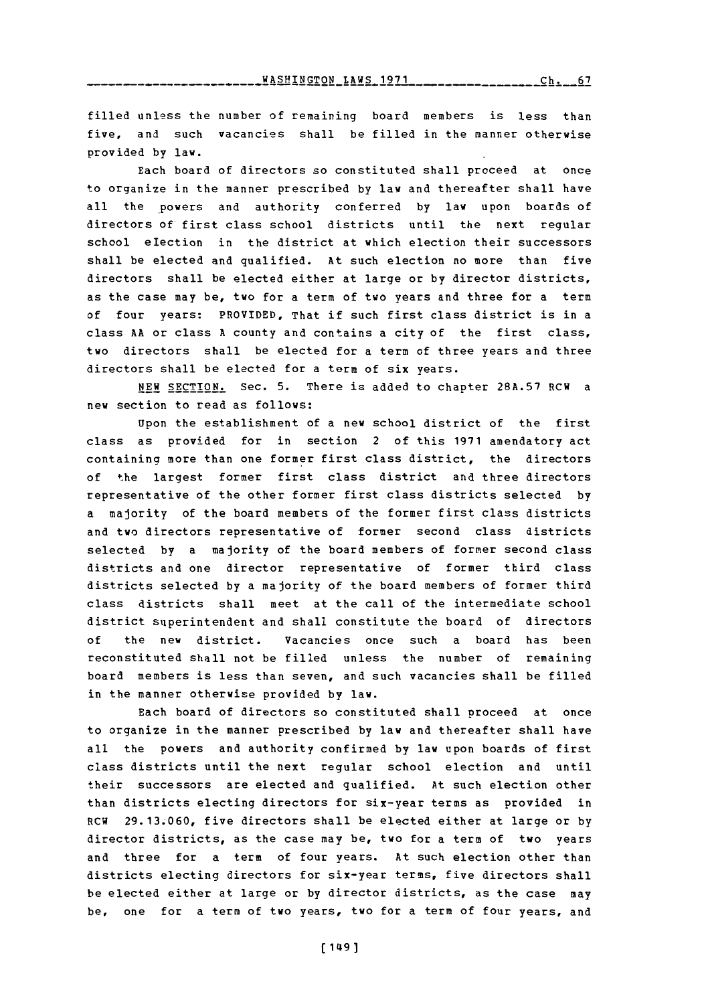filled unless the number of remaining board members is less than five, and such vacancies shall be filled in the manner otherwise provided **by** law.

Each board of directors so constituted shall proceed at once to organize in the manner prescribed **by** law and thereafter shall have all the powers and authority conferred **by** law upon boards of directors of first class school districts until the next regular school election in the district at which election their successors shall be elected and qualified. At such election no more than five directors shall be elected either at large or **by** director districts, as the case may be, two for a term of two years and three for a term of four years: PROVIDED, That if such first class district is in a class **AA** or class **A** county and contains a city of the first class, two directors shall be elected for a term of three years and three directors shall be elected for a term of six years.

NEW **SECTION.** Sec. **5.** There is added to chapter **28A.57** RCW a new section to read as follows:

Upon the establishment of a new school district of the first class as provided for in section 2 of this **1971** amendatory act containing more than one former first class district, the directors of the largest former first class district and three directors representative of the other former first class districts selected **by** a majority of the board members of the former first class districts and two directors representative of former second class districts selected **by** a majority of the board members of former second class districts and one director representative of former third class districts selected **by** a majority of the board members of former third class districts shall meet at the call of the intermediate school district superintendent and shall constitute the board of directors **of** the new district. Vacancies once such a board has been reconstituted shall not be filled unless the number of remaining board members is less than seven, and such vacancies shall be filled in the manner otherwise provided **by** law.

Each board of directors so constituted shall proceed at once to organize in the manner prescribed **by** law and thereafter shall have all the powers and authority confirmed **by** law upon boards of first class districts until the next regular school election and until their successors are elected and qualified. At such election other than districts electing directors for six-year terms as provided in RCW **29.13.060,** five directors shall be elected either at large or **by** director districts, as the case may be, two for a term of two years and three for a term of four years. At such election other than districts electing directors for six-year terms, five directors shall be elected either at large or **by** director districts, as the case may be, one for a term of two years, two for a term of four years, and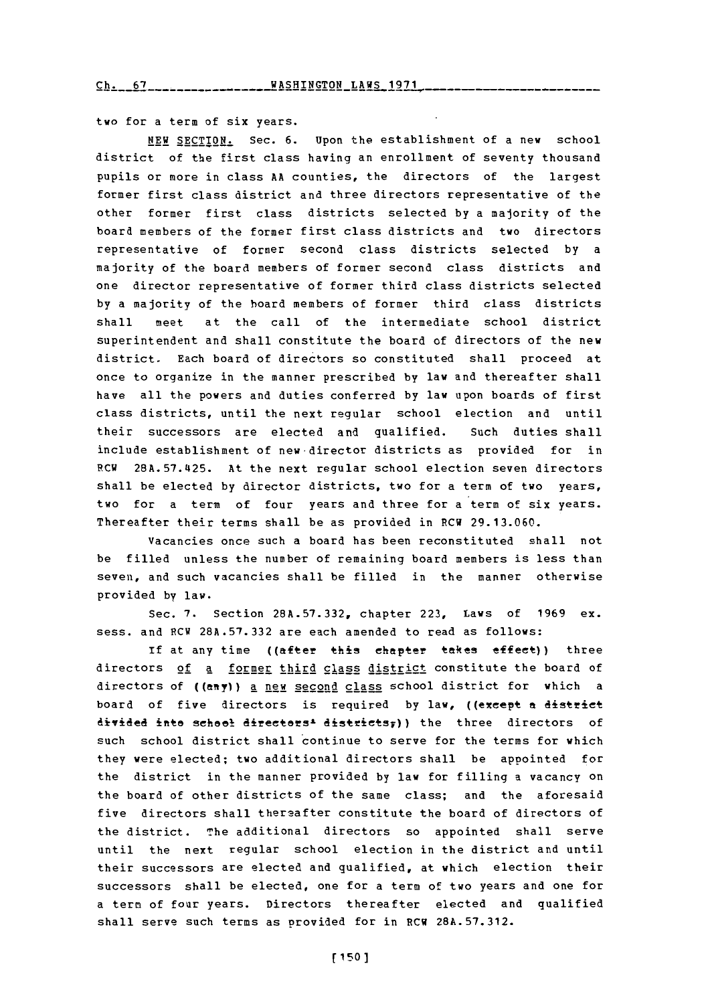two for a term of six years.

**NEW** SECTION. Sec. **6.** Upon the establishment of a new school district of the first class having an enrollment of seventy thousand pupils or more in class **AA** counties, the directors of the largest former first class district and three directors representative of the other former first class districts selected **by** a majority of the board members of the former first class districts and two directors representative of former second class districts selected **by** a majority of the board members of former second class districts and one director representative of former third class districts selected **by** a majority of the board members of former third class districts shall meet at the call of the intermediate school district superintendent and shall constitute the board of directors of the new district. Each board of directors so constituted shall proceed at once to organize in the manner prescribed **by** law and thereafter shall have all the powers and duties conferred **by** law upon boards of first class districts, until the next regular school election and until their successors are elected and qualified. Such duties shall include establishment of new-director districts as provided for in RCW **28A.57.4125.** At the next regular school election seven directors shall be elected **by** director districts, two for a term of two years, two for a term of four years and three for a term of six years. Thereafter their terms shall be as provided in PCW **29.13.060.**

vacancies once such a board has been reconstituted shall not be filled unless the number of remaining board members is less than seven, and such vacancies shall be filled in the manner otherwise provided **by** law.

Sec. **7.** Section **28A.57.332,** chapter **223,** Laws of **1969** ex. sess. and 1RCW **28A.57.332** are each amended to read as follows:

**if** at any time ((after this chapter takes effect)) three directors of a former third class district constitute the board of directors of ((any)) a new second class school district for which a board of five directors is required by law, ((except a district divided inte scheel directers<sup>1</sup> districts<sub>F</sub>)) the three directors of such school district shall continue to serve for the terms for which they were elected; two additional directors shall be appointed for the district in the manner provided **by** law for filling a vacancy on the board of other districts of the same class; and the aforesaid five directors shall thersafter constitute the board of directors of the district. The additional directors so appointed shall serve until the next regular school election in the district and until their successors are elected and qualified, at which election their successors shall be elected, one for a term of two years and one for a term of four years. Directors thereafter elected and qualified shall serve such terms as provided for in RCW **28A.57.312.**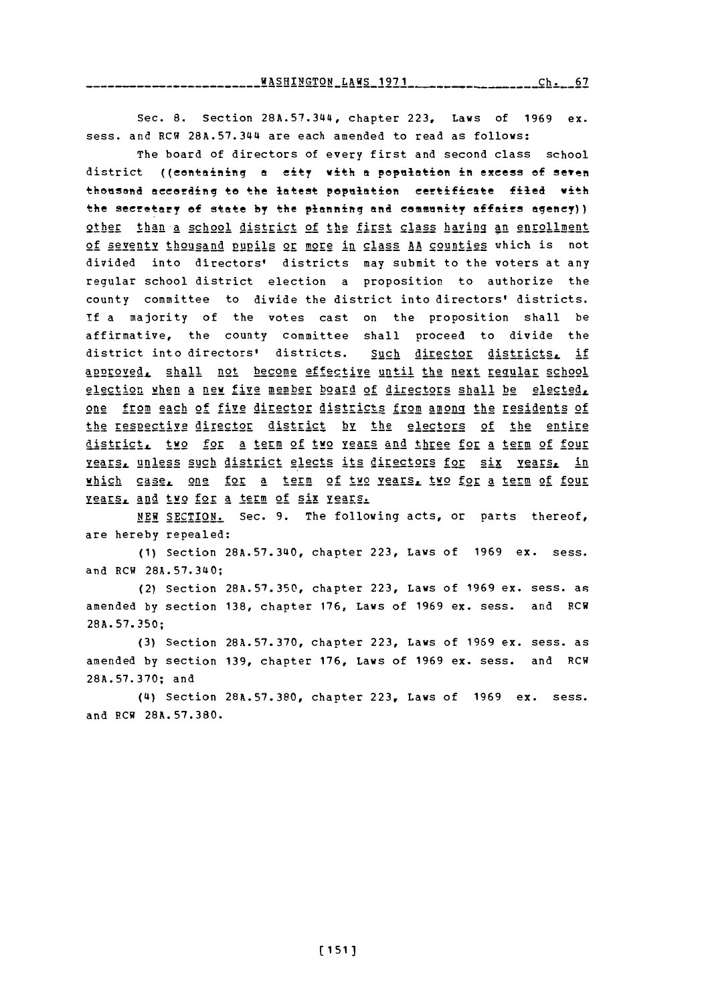WASHINGTON LAWS **1971** C. 6 **Ch. 67**

Sec. 8. Section 28A.57.344, chapter 223, Laws of 1969 ex. sess. and RCW 28A.57.344 are each amended to read as follows:

The board of directors of every first and second class school district ((containing a city with a population in excess of seven thousand according to the latest population certificate filed with the secretary of state by the planning and community affairs agency)) other than a school district of the first class having an enrollment of seventy thousand pupils or more in class AA counties which is not divided into directors' districts may submit to the voters at any regular school district election a proposition to authorize the county committee to divide the district into directors' districts. **if** a majority of the votes cast on the proposition shall be affirmative, the county committee shall proceed to divide the district into directors' districts. Such director districts, if approved, shall not become effective until the next reqular school election when a new five member board of directors shall be elected. one from each of five director districts from among the residents of the respective director district by the electors of the entire district. two for a term of two years and three for a term of four **Years, unless such district elects its directors for six years, in** which case, one for a term of two years, two for a term of four yiE§.s **and** two for a term of six **y2ears.**

**NEW** SECTION. Sec. **9.** The following acts, or parts thereof, are hereby repealed:

**(1)** Section **28A.57.340,** chapter **223,** Laws of **1969** ex. sess. and RCW 28A.57.340;

(2) Section **28A.57.350,** chapter **223,** Laws of **1969** ex. sess. as amended **by** section **138,** chapter **176,** Laws of **1969** ex. sess. and RCW **28A. 57. 350;**

**(3)** Section **28A.57. 370,** chapter **223,** Laws of **1969** ex. sess. as amended **by** section **139,** chapter **176,** Laws of **1969** ex. sess. and RCW **28A.57.370;** and

**(4\$)** Section **28A.57.380,** chapter **223,** Laws of **1969** ex. sess. and RCW **28A.57.380.**

**(151)**